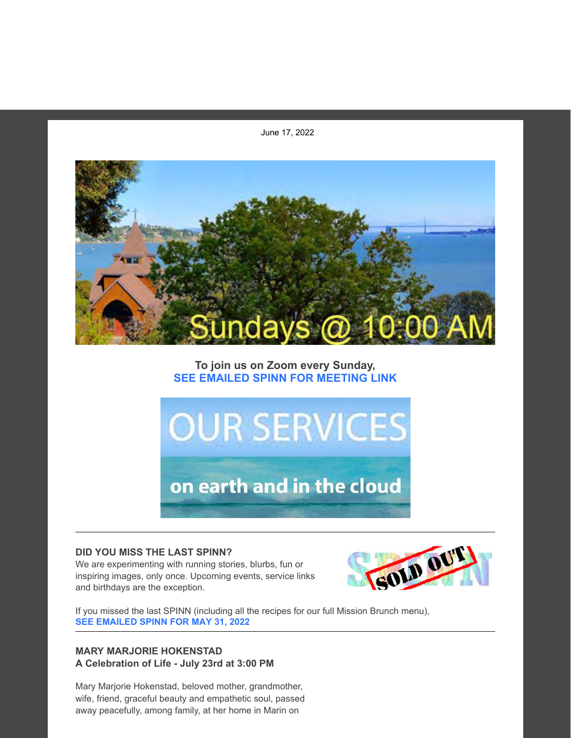June 17, 2022



# **To join us on Zoom every Sunday, SEE EMAILED SPINN FOR MEETING LINK**



#### **DID YOU MISS THE LAST SPINN?**

We are experimenting with running stories, blurbs, fun or inspiring images, only once. Upcoming events, service links and birthdays are the exception.



If you missed the last SPINN (including all the recipes for our full Mission Brunch menu), **SEE EMAILED SPINN FOR MAY 31, 2022**

## **MARY MARJORIE HOKENSTAD A Celebration of Life - July 23rd at 3:00 PM**

Mary Marjorie Hokenstad, beloved mother, grandmother, wife, friend, graceful beauty and empathetic soul, passed away peacefully, among family, at her home in Marin on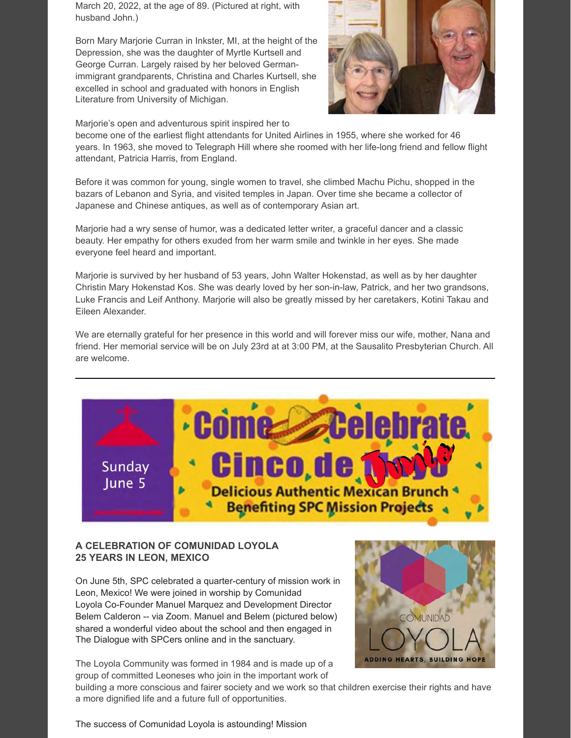March 20, 2022, at the age of 89. (Pictured at right, with husband John.)

Born Mary Marjorie Curran in Inkster, MI, at the height of the Depression, she was the daughter of Myrtle Kurtsell and George Curran. Largely raised by her beloved Germanimmigrant grandparents, Christina and Charles Kurtsell, she excelled in school and graduated with honors in English Literature from University of Michigan.



Marjorie's open and adventurous spirit inspired her to

become one of the earliest flight attendants for United Airlines in 1955, where she worked for 46 years. In 1963, she moved to Telegraph Hill where she roomed with her life-long friend and fellow flight attendant, Patricia Harris, from England.

Before it was common for young, single women to travel, she climbed Machu Pichu, shopped in the bazars of Lebanon and Syria, and visited temples in Japan. Over time she became a collector of Japanese and Chinese antiques, as well as of contemporary Asian art.

Marjorie had a wry sense of humor, was a dedicated letter writer, a graceful dancer and a classic beauty. Her empathy for others exuded from her warm smile and twinkle in her eyes. She made everyone feel heard and important.

Marjorie is survived by her husband of 53 years, John Walter Hokenstad, as well as by her daughter Christin Mary Hokenstad Kos. She was dearly loved by her son-in-law, Patrick, and her two grandsons, Luke Francis and Leif Anthony. Marjorie will also be greatly missed by her caretakers, Kotini Takau and Eileen Alexander.

We are eternally grateful for her presence in this world and will forever miss our wife, mother, Nana and friend. Her memorial service will be on July 23rd at at 3:00 PM, at the Sausalito Presbyterian Church. All are welcome.



## **A CELEBRATION OF COMUNIDAD LOYOLA 25 YEARS IN LEON, MEXICO**

On June 5th, SPC celebrated a quarter-century of mission work in Leon, Mexico! We were joined in worship by Comunidad Loyola Co-Founder Manuel Marquez and Development Director Belem Calderon -- via Zoom. Manuel and Belem (pictured below) shared a wonderful video about the school and then engaged in The Dialogue with SPCers online and in the sanctuary.

The Loyola Community was formed in 1984 and is made up of a group of committed Leoneses who join in the important work of



building a more conscious and fairer society and we work so that children exercise their rights and have a more dignified life and a future full of opportunities.

The success of Comunidad Loyola is astounding! Mission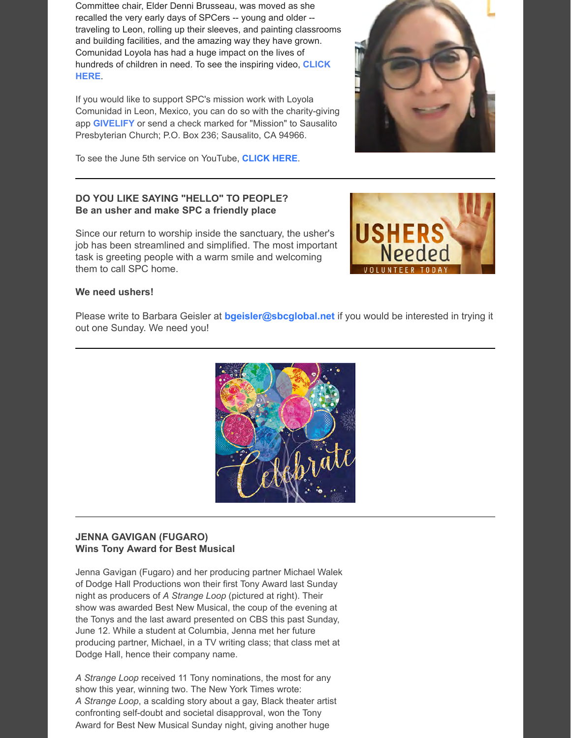Committee chair, Elder Denni Brusseau, was moved as she recalled the very early days of SPCers -- young and older - traveling to Leon, rolling up their sleeves, and painting classrooms and building facilities, and the amazing way they have grown. Comunidad Loyola has had a huge impact on the lives of [hundreds of children in need. To see the inspiring video,](https://youtu.be/N2aiuv3zNPU?t=1935) **CLICK HERE**.

If you would like to support SPC's mission work with Loyola Comunidad in Leon, Mexico, you can do so with the charity-giving app **[GIVELIFY](https://www.givelify.com/)** or send a check marked for "Mission" to Sausalito Presbyterian Church; P.O. Box 236; Sausalito, CA 94966.



## **DO YOU LIKE SAYING "HELLO" TO PEOPLE? Be an usher and make SPC a friendly place**

Since our return to worship inside the sanctuary, the usher's job has been streamlined and simplified. The most important task is greeting people with a warm smile and welcoming them to call SPC home.



### **We need ushers!**

Please write to Barbara Geisler at **[bgeisler@sbcglobal.net](mailto:bgeisler@sbcglobal.net)** if you would be interested in trying it out one Sunday. We need you!



#### **JENNA GAVIGAN (FUGARO) Wins Tony Award for Best Musical**

Jenna Gavigan (Fugaro) and her producing partner Michael Walek of Dodge Hall Productions won their first Tony Award last Sunday night as producers of *A Strange Loop* (pictured at right). Their show was awarded Best New Musical, the coup of the evening at the Tonys and the last award presented on CBS this past Sunday, June 12. While a student at Columbia, Jenna met her future producing partner, Michael, in a TV writing class; that class met at Dodge Hall, hence their company name.

*A Strange Loop* received 11 Tony nominations, the most for any show this year, winning two. The New York Times wrote: *A Strange Loop*, a scalding story about a gay, Black theater artist confronting self-doubt and societal disapproval, won the Tony Award for Best New Musical Sunday night, giving another huge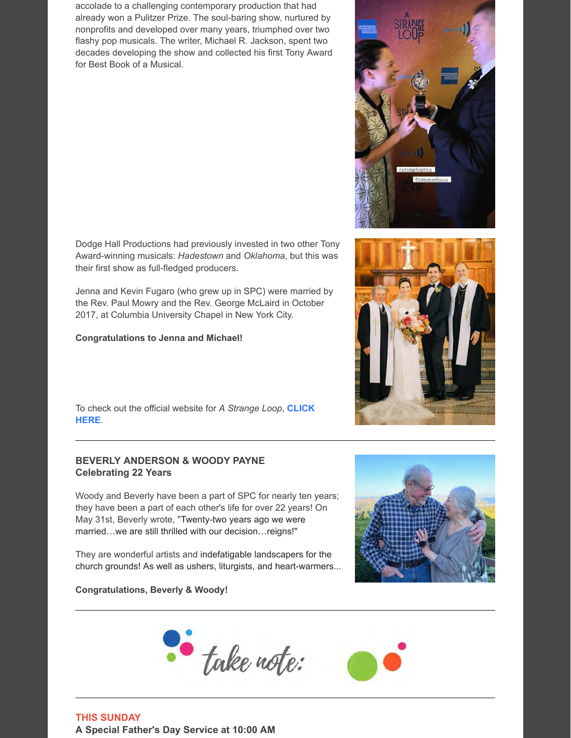accolade to a challenging contemporary production that had already won a Pulitzer Prize. The soul-baring show, nurtured by nonprofits and developed over many years, triumphed over two flashy pop musicals. The writer, Michael R. Jackson, spent two decades developing the show and collected his first Tony Award for Best Book of a Musical.

Dodge Hall Productions had previously invested in two other Tony Award-winning musicals: *Hadestown* and *Oklahoma*, but this was their first show as full-fledged producers.

Jenna and Kevin Fugaro (who grew up in SPC) were married by the Rev. Paul Mowry and the Rev. George McLaird in October 2017, at Columbia University Chapel in New York City.

### **Congratulations to Jenna and Michael!**

[To check out the official website for](https://strangeloopmusical.com/) *A Strange Loop*, **CLICK HERE**.

## **BEVERLY ANDERSON & WOODY PAYNE Celebrating 22 Years**

Woody and Beverly have been a part of SPC for nearly ten years; they have been a part of each other's life for over 22 years! On May 31st, Beverly wrote, "Twenty-two years ago we were married…we are still thrilled with our decision…reigns!"

They are wonderful artists and indefatigable landscapers for the church grounds! As well as ushers, liturgists, and heart-warmers...

### **Congratulations, Beverly & Woody!**

**THIS SUNDAY A Special Father's Day Service at 10:00 AM**







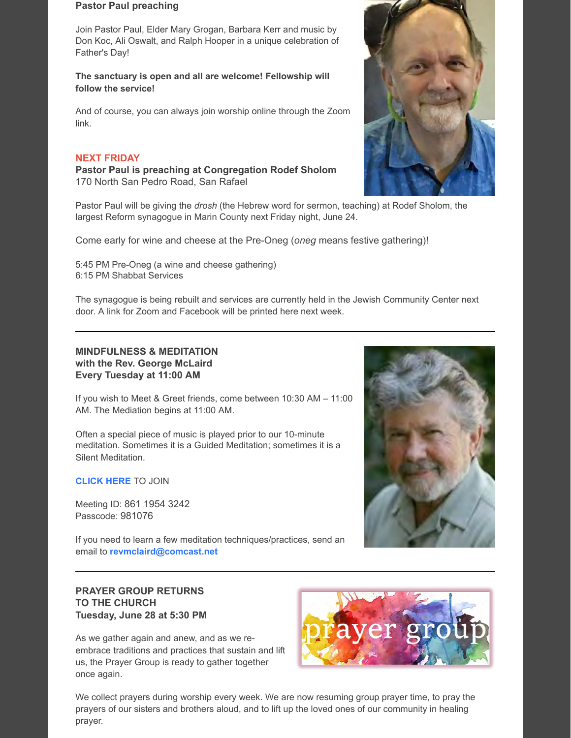#### **Pastor Paul preaching**

Join Pastor Paul, Elder Mary Grogan, Barbara Kerr and music by Don Koc, Ali Oswalt, and Ralph Hooper in a unique celebration of Father's Day!

### **The sanctuary is open and all are welcome! Fellowship will follow the service!**

And of course, you can always join worship online through the Zoom link.

#### **NEXT FRIDAY**

**Pastor Paul is preaching at Congregation Rodef Sholom** 170 North San Pedro Road, San Rafael

Pastor Paul will be giving the *drosh* (the Hebrew word for sermon, teaching) at Rodef Sholom, the largest Reform synagogue in Marin County next Friday night, June 24.

Come early for wine and cheese at the Pre-Oneg (*oneg* means festive gathering)!

5:45 PM Pre-Oneg (a wine and cheese gathering) 6:15 PM Shabbat Services

The synagogue is being rebuilt and services are currently held in the Jewish Community Center next door. A link for Zoom and Facebook will be printed here next week.

### **MINDFULNESS & MEDITATION with the Rev. George McLaird Every Tuesday at 11:00 AM**

If you wish to Meet & Greet friends, come between 10:30 AM – 11:00 AM. The Mediation begins at 11:00 AM.

Often a special piece of music is played prior to our 10-minute meditation. Sometimes it is a Guided Meditation; sometimes it is a Silent Meditation.

#### **[CLICK HERE](https://us02web.zoom.us/j/86119543242?pwd=dTJoaFZRaHFpTGhrK0l6b1lmRldEUT09)** TO JOIN

Meeting ID: 861 1954 3242 Passcode: 981076

If you need to learn a few meditation techniques/practices, send an email to **[revmclaird@comcast.net](mailto:revmclaird@comcast.net)**

## **PRAYER GROUP RETURNS TO THE CHURCH Tuesday, June 28 at 5:30 PM**

As we gather again and anew, and as we reembrace traditions and practices that sustain and lift us, the Prayer Group is ready to gather together once again.





We collect prayers during worship every week. We are now resuming group prayer time, to pray the prayers of our sisters and brothers aloud, and to lift up the loved ones of our community in healing prayer.

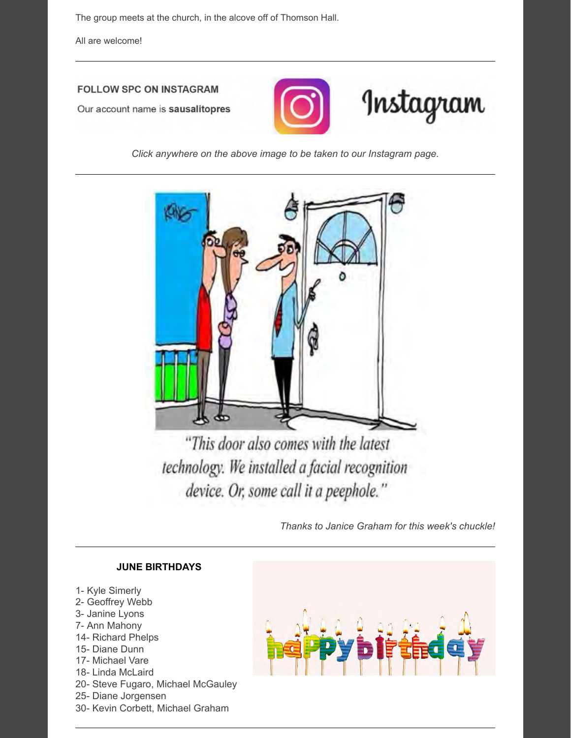The group meets at the church, in the alcove off of Thomson Hall.

All are welcome!

# **FOLLOW SPC ON INSTAGRAM**

Our account name is sausalitopres



*Click anywhere on the above image to be taken to our Instagram page.*



"This door also comes with the latest technology. We installed a facial recognition device. Or, some call it a peephole."

*Thanks to Janice Graham for this week's chuckle!*

## **JUNE BIRTHDAYS**

1- Kyle Simerly 2- Geoffrey Webb 3- Janine Lyons 7- Ann Mahony 14- Richard Phelps 15- Diane Dunn 17- Michael Vare 18- Linda McLaird 20- Steve Fugaro, Michael McGauley 25- Diane Jorgensen 30- Kevin Corbett, Michael Graham